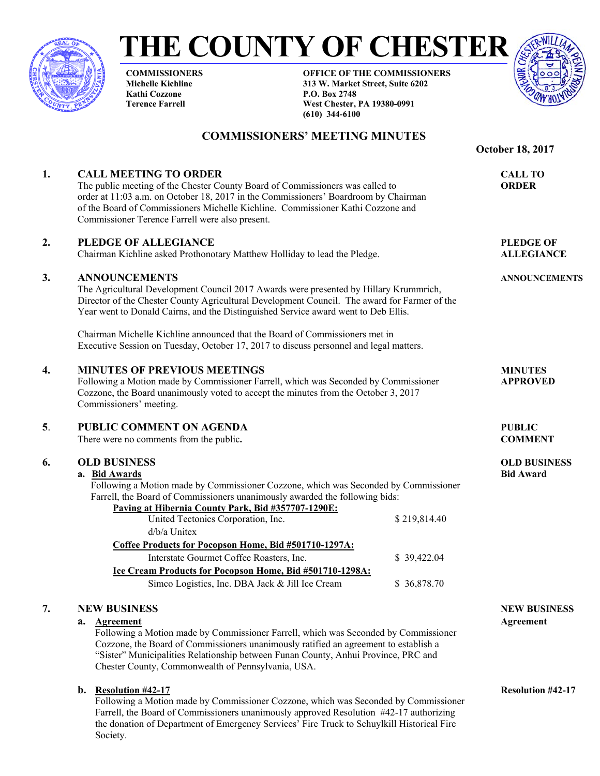

**THE COUNTY OF CHESTER** 

**COMMISSIONERS Michelle Kichline Kathi Cozzone Terence Farrell** 

**OFFICE OF THE COMMISSIONERS 313 W. Market Street, Suite 6202 P.O. Box 2748 West Chester, PA 19380-0991 (610) 344-6100** 



 **October 18, 2017** 

## **COMMISSIONERS' MEETING MINUTES**

| 1. | <b>CALL MEETING TO ORDER</b><br>The public meeting of the Chester County Board of Commissioners was called to<br>order at 11:03 a.m. on October 18, 2017 in the Commissioners' Boardroom by Chairman<br>of the Board of Commissioners Michelle Kichline. Commissioner Kathi Cozzone and<br>Commissioner Terence Farrell were also present.                     | <b>CALL TO</b><br><b>ORDER</b> |                                         |
|----|----------------------------------------------------------------------------------------------------------------------------------------------------------------------------------------------------------------------------------------------------------------------------------------------------------------------------------------------------------------|--------------------------------|-----------------------------------------|
| 2. | PLEDGE OF ALLEGIANCE<br>Chairman Kichline asked Prothonotary Matthew Holliday to lead the Pledge.                                                                                                                                                                                                                                                              |                                | <b>PLEDGE OF</b><br><b>ALLEGIANCE</b>   |
| 3. | <b>ANNOUNCEMENTS</b><br>The Agricultural Development Council 2017 Awards were presented by Hillary Krummrich,<br>Director of the Chester County Agricultural Development Council. The award for Farmer of the<br>Year went to Donald Cairns, and the Distinguished Service award went to Deb Ellis.                                                            |                                | <b>ANNOUNCEMENTS</b>                    |
|    | Chairman Michelle Kichline announced that the Board of Commissioners met in<br>Executive Session on Tuesday, October 17, 2017 to discuss personnel and legal matters.                                                                                                                                                                                          |                                |                                         |
| 4. | <b>MINUTES OF PREVIOUS MEETINGS</b><br>Following a Motion made by Commissioner Farrell, which was Seconded by Commissioner<br>Cozzone, the Board unanimously voted to accept the minutes from the October 3, 2017<br>Commissioners' meeting.                                                                                                                   |                                | <b>MINUTES</b><br><b>APPROVED</b>       |
| 5. | <b>PUBLIC COMMENT ON AGENDA</b><br>There were no comments from the public.                                                                                                                                                                                                                                                                                     |                                | <b>PUBLIC</b><br><b>COMMENT</b>         |
| 6. | <b>OLD BUSINESS</b><br>a. Bid Awards<br>Following a Motion made by Commissioner Cozzone, which was Seconded by Commissioner<br>Farrell, the Board of Commissioners unanimously awarded the following bids:<br>Paving at Hibernia County Park, Bid #357707-1290E:                                                                                               |                                | <b>OLD BUSINESS</b><br><b>Bid Award</b> |
|    | United Tectonics Corporation, Inc.<br>$d/b/a$ Unitex                                                                                                                                                                                                                                                                                                           | \$219,814.40                   |                                         |
|    | Coffee Products for Pocopson Home, Bid #501710-1297A:                                                                                                                                                                                                                                                                                                          |                                |                                         |
|    | Interstate Gourmet Coffee Roasters, Inc.                                                                                                                                                                                                                                                                                                                       | \$39,422.04                    |                                         |
|    | Ice Cream Products for Pocopson Home, Bid #501710-1298A:<br>Simco Logistics, Inc. DBA Jack & Jill Ice Cream                                                                                                                                                                                                                                                    | \$36,878.70                    |                                         |
| 7. | <b>NEW BUSINESS</b><br>a. Agreement<br>Following a Motion made by Commissioner Farrell, which was Seconded by Commissioner<br>Cozzone, the Board of Commissioners unanimously ratified an agreement to establish a<br>"Sister" Municipalities Relationship between Funan County, Anhui Province, PRC and<br>Chester County, Commonwealth of Pennsylvania, USA. |                                | <b>NEW BUSINESS</b><br>Agreement        |
|    | <b>Resolution #42-17</b><br>b.<br>Following a Motion made by Commissioner Cozzone, which was Seconded by Commissioner<br>Farrell, the Board of Commissioners unanimously approved Resolution #42-17 authorizing                                                                                                                                                |                                | <b>Resolution #42-17</b>                |

the donation of Department of Emergency Services' Fire Truck to Schuylkill Historical Fire

Society.